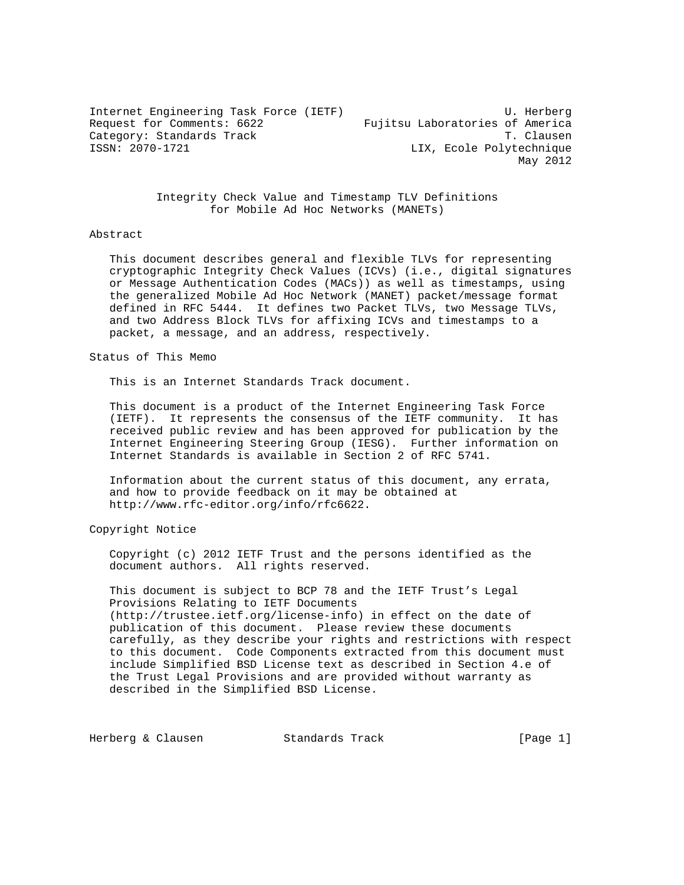Internet Engineering Task Force (IETF) U. Herberg Request for Comments: 6622 Fujitsu Laboratories of America Category: Standards Track T. Clausen ISSN: 2070-1721 LIX, Ecole Polytechnique May 2012

> Integrity Check Value and Timestamp TLV Definitions for Mobile Ad Hoc Networks (MANETs)

## Abstract

 This document describes general and flexible TLVs for representing cryptographic Integrity Check Values (ICVs) (i.e., digital signatures or Message Authentication Codes (MACs)) as well as timestamps, using the generalized Mobile Ad Hoc Network (MANET) packet/message format defined in RFC 5444. It defines two Packet TLVs, two Message TLVs, and two Address Block TLVs for affixing ICVs and timestamps to a packet, a message, and an address, respectively.

Status of This Memo

This is an Internet Standards Track document.

 This document is a product of the Internet Engineering Task Force (IETF). It represents the consensus of the IETF community. It has received public review and has been approved for publication by the Internet Engineering Steering Group (IESG). Further information on Internet Standards is available in Section 2 of RFC 5741.

 Information about the current status of this document, any errata, and how to provide feedback on it may be obtained at http://www.rfc-editor.org/info/rfc6622.

Copyright Notice

 Copyright (c) 2012 IETF Trust and the persons identified as the document authors. All rights reserved.

 This document is subject to BCP 78 and the IETF Trust's Legal Provisions Relating to IETF Documents (http://trustee.ietf.org/license-info) in effect on the date of publication of this document. Please review these documents carefully, as they describe your rights and restrictions with respect to this document. Code Components extracted from this document must include Simplified BSD License text as described in Section 4.e of the Trust Legal Provisions and are provided without warranty as described in the Simplified BSD License.

Herberg & Clausen Track Track Track [Page 1]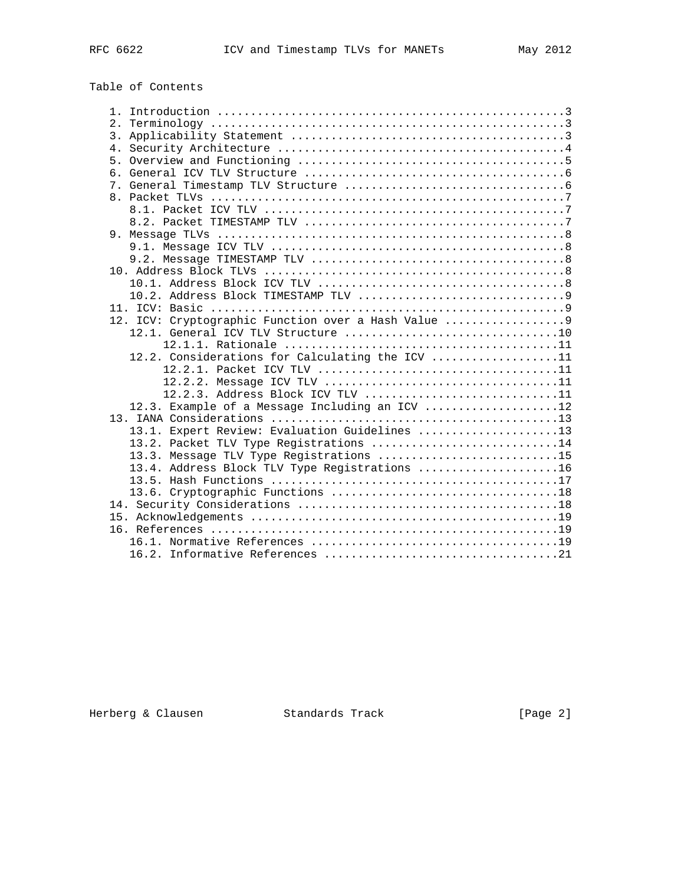# Table of Contents

| 12. ICV: Cryptographic Function over a Hash Value |
|---------------------------------------------------|
|                                                   |
|                                                   |
| 12.2. Considerations for Calculating the ICV 11   |
|                                                   |
|                                                   |
| 12.2.3. Address Block ICV TLV 11                  |
| 12.3. Example of a Message Including an ICV 12    |
|                                                   |
| 13.1. Expert Review: Evaluation Guidelines 13     |
| 13.2. Packet TLV Type Registrations 14            |
| 13.3. Message TLV Type Registrations 15           |
| 13.4. Address Block TLV Type Registrations 16     |
|                                                   |
|                                                   |
|                                                   |
|                                                   |
|                                                   |
|                                                   |
|                                                   |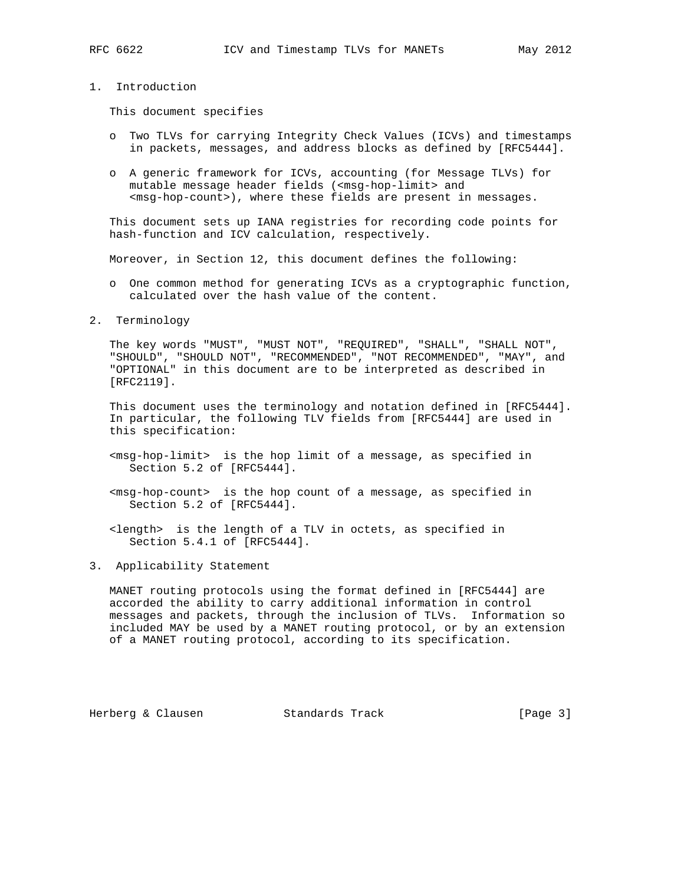# 1. Introduction

This document specifies

- o Two TLVs for carrying Integrity Check Values (ICVs) and timestamps in packets, messages, and address blocks as defined by [RFC5444].
- o A generic framework for ICVs, accounting (for Message TLVs) for mutable message header fields (<msg-hop-limit> and <msg-hop-count>), where these fields are present in messages.

 This document sets up IANA registries for recording code points for hash-function and ICV calculation, respectively.

Moreover, in Section 12, this document defines the following:

- o One common method for generating ICVs as a cryptographic function, calculated over the hash value of the content.
- 2. Terminology

 The key words "MUST", "MUST NOT", "REQUIRED", "SHALL", "SHALL NOT", "SHOULD", "SHOULD NOT", "RECOMMENDED", "NOT RECOMMENDED", "MAY", and "OPTIONAL" in this document are to be interpreted as described in [RFC2119].

 This document uses the terminology and notation defined in [RFC5444]. In particular, the following TLV fields from [RFC5444] are used in this specification:

- <msg-hop-limit> is the hop limit of a message, as specified in Section 5.2 of [RFC5444].
- <msg-hop-count> is the hop count of a message, as specified in Section 5.2 of [RFC5444].
- <length> is the length of a TLV in octets, as specified in Section 5.4.1 of [RFC5444].
- 3. Applicability Statement

 MANET routing protocols using the format defined in [RFC5444] are accorded the ability to carry additional information in control messages and packets, through the inclusion of TLVs. Information so included MAY be used by a MANET routing protocol, or by an extension of a MANET routing protocol, according to its specification.

Herberg & Clausen Standards Track [Page 3]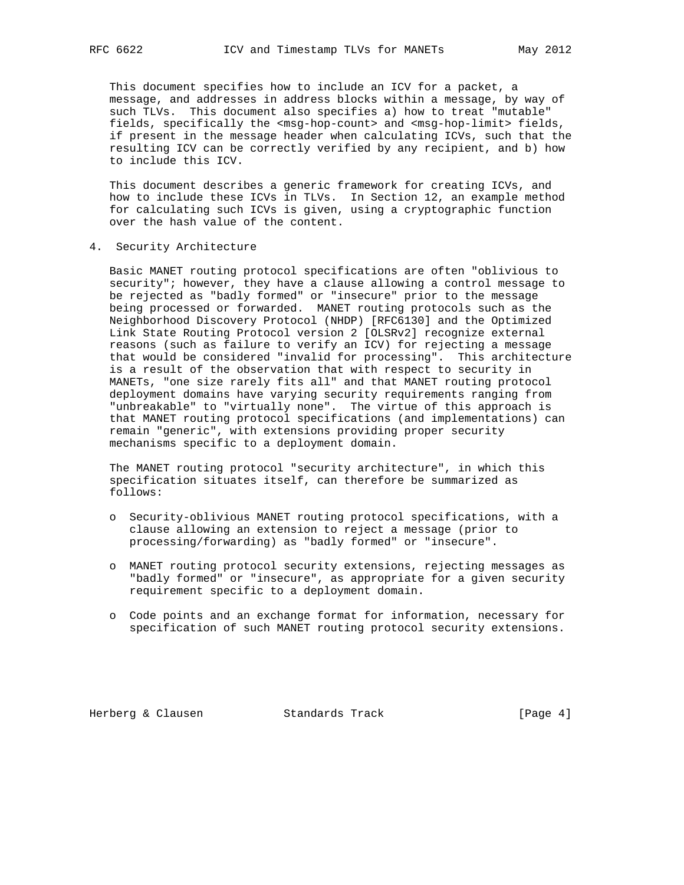This document specifies how to include an ICV for a packet, a message, and addresses in address blocks within a message, by way of such TLVs. This document also specifies a) how to treat "mutable" fields, specifically the <msg-hop-count> and <msg-hop-limit> fields, if present in the message header when calculating ICVs, such that the resulting ICV can be correctly verified by any recipient, and b) how to include this ICV.

 This document describes a generic framework for creating ICVs, and how to include these ICVs in TLVs. In Section 12, an example method for calculating such ICVs is given, using a cryptographic function over the hash value of the content.

4. Security Architecture

 Basic MANET routing protocol specifications are often "oblivious to security"; however, they have a clause allowing a control message to be rejected as "badly formed" or "insecure" prior to the message being processed or forwarded. MANET routing protocols such as the Neighborhood Discovery Protocol (NHDP) [RFC6130] and the Optimized Link State Routing Protocol version 2 [OLSRv2] recognize external reasons (such as failure to verify an ICV) for rejecting a message that would be considered "invalid for processing". This architecture is a result of the observation that with respect to security in MANETs, "one size rarely fits all" and that MANET routing protocol deployment domains have varying security requirements ranging from "unbreakable" to "virtually none". The virtue of this approach is that MANET routing protocol specifications (and implementations) can remain "generic", with extensions providing proper security mechanisms specific to a deployment domain.

 The MANET routing protocol "security architecture", in which this specification situates itself, can therefore be summarized as follows:

- o Security-oblivious MANET routing protocol specifications, with a clause allowing an extension to reject a message (prior to processing/forwarding) as "badly formed" or "insecure".
- o MANET routing protocol security extensions, rejecting messages as "badly formed" or "insecure", as appropriate for a given security requirement specific to a deployment domain.
- o Code points and an exchange format for information, necessary for specification of such MANET routing protocol security extensions.

Herberg & Clausen Standards Track [Page 4]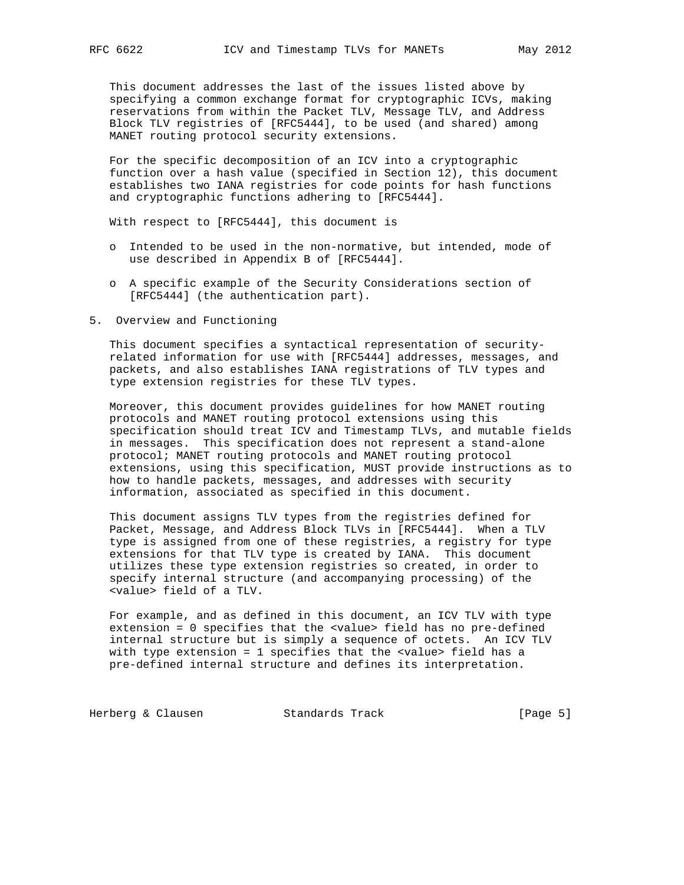This document addresses the last of the issues listed above by specifying a common exchange format for cryptographic ICVs, making reservations from within the Packet TLV, Message TLV, and Address Block TLV registries of [RFC5444], to be used (and shared) among MANET routing protocol security extensions.

 For the specific decomposition of an ICV into a cryptographic function over a hash value (specified in Section 12), this document establishes two IANA registries for code points for hash functions and cryptographic functions adhering to [RFC5444].

With respect to [RFC5444], this document is

- o Intended to be used in the non-normative, but intended, mode of use described in Appendix B of [RFC5444].
- o A specific example of the Security Considerations section of [RFC5444] (the authentication part).
- 5. Overview and Functioning

 This document specifies a syntactical representation of security related information for use with [RFC5444] addresses, messages, and packets, and also establishes IANA registrations of TLV types and type extension registries for these TLV types.

 Moreover, this document provides guidelines for how MANET routing protocols and MANET routing protocol extensions using this specification should treat ICV and Timestamp TLVs, and mutable fields in messages. This specification does not represent a stand-alone protocol; MANET routing protocols and MANET routing protocol extensions, using this specification, MUST provide instructions as to how to handle packets, messages, and addresses with security information, associated as specified in this document.

 This document assigns TLV types from the registries defined for Packet, Message, and Address Block TLVs in [RFC5444]. When a TLV type is assigned from one of these registries, a registry for type extensions for that TLV type is created by IANA. This document utilizes these type extension registries so created, in order to specify internal structure (and accompanying processing) of the <value> field of a TLV.

 For example, and as defined in this document, an ICV TLV with type extension = 0 specifies that the <value> field has no pre-defined internal structure but is simply a sequence of octets. An ICV TLV with type extension = 1 specifies that the <value> field has a pre-defined internal structure and defines its interpretation.

Herberg & Clausen Standards Track [Page 5]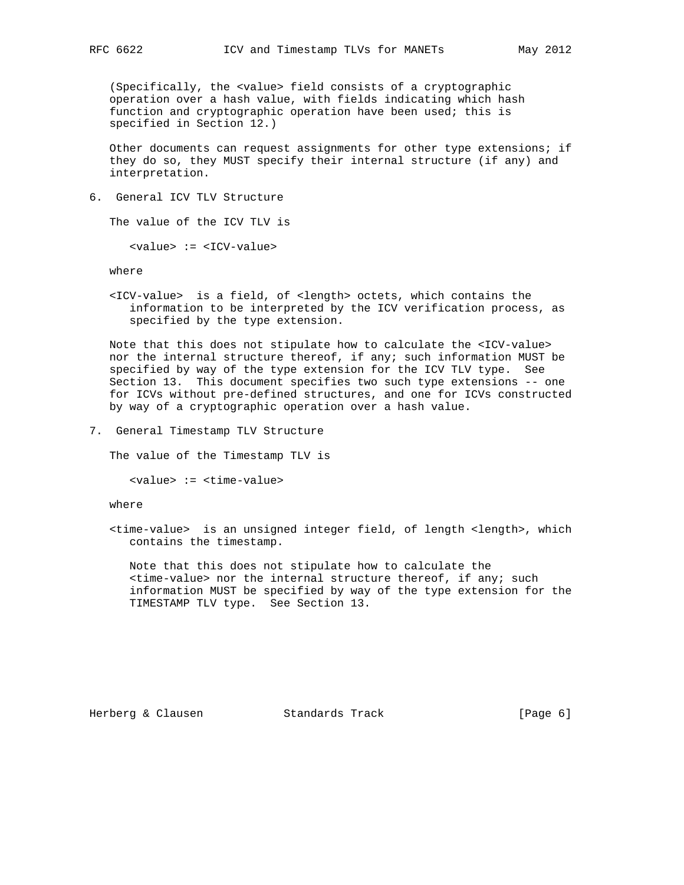(Specifically, the <value> field consists of a cryptographic operation over a hash value, with fields indicating which hash function and cryptographic operation have been used; this is specified in Section 12.)

 Other documents can request assignments for other type extensions; if they do so, they MUST specify their internal structure (if any) and interpretation.

6. General ICV TLV Structure

The value of the ICV TLV is

<value> := <ICV-value>

where

 <ICV-value> is a field, of <length> octets, which contains the information to be interpreted by the ICV verification process, as specified by the type extension.

 Note that this does not stipulate how to calculate the <ICV-value> nor the internal structure thereof, if any; such information MUST be specified by way of the type extension for the ICV TLV type. See Section 13. This document specifies two such type extensions -- one for ICVs without pre-defined structures, and one for ICVs constructed by way of a cryptographic operation over a hash value.

7. General Timestamp TLV Structure

The value of the Timestamp TLV is

<value> := <time-value>

where

 <time-value> is an unsigned integer field, of length <length>, which contains the timestamp.

 Note that this does not stipulate how to calculate the <time-value> nor the internal structure thereof, if any; such information MUST be specified by way of the type extension for the TIMESTAMP TLV type. See Section 13.

Herberg & Clausen Standards Track (Page 6)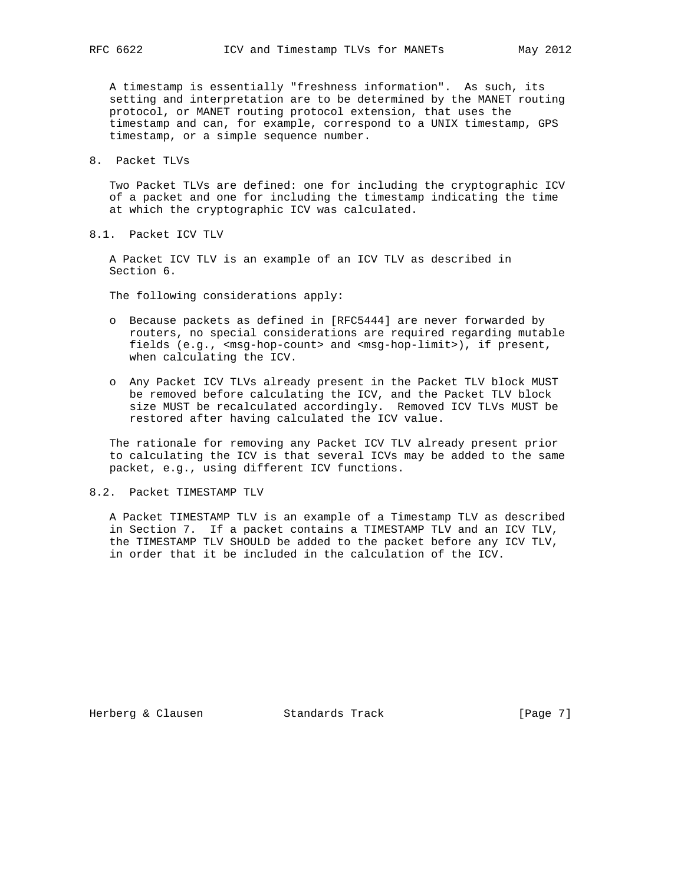A timestamp is essentially "freshness information". As such, its setting and interpretation are to be determined by the MANET routing protocol, or MANET routing protocol extension, that uses the timestamp and can, for example, correspond to a UNIX timestamp, GPS timestamp, or a simple sequence number.

8. Packet TLVs

 Two Packet TLVs are defined: one for including the cryptographic ICV of a packet and one for including the timestamp indicating the time at which the cryptographic ICV was calculated.

8.1. Packet ICV TLV

 A Packet ICV TLV is an example of an ICV TLV as described in Section 6.

The following considerations apply:

- o Because packets as defined in [RFC5444] are never forwarded by routers, no special considerations are required regarding mutable fields (e.g., <msg-hop-count> and <msg-hop-limit>), if present, when calculating the ICV.
- o Any Packet ICV TLVs already present in the Packet TLV block MUST be removed before calculating the ICV, and the Packet TLV block size MUST be recalculated accordingly. Removed ICV TLVs MUST be restored after having calculated the ICV value.

 The rationale for removing any Packet ICV TLV already present prior to calculating the ICV is that several ICVs may be added to the same packet, e.g., using different ICV functions.

8.2. Packet TIMESTAMP TLV

 A Packet TIMESTAMP TLV is an example of a Timestamp TLV as described in Section 7. If a packet contains a TIMESTAMP TLV and an ICV TLV, the TIMESTAMP TLV SHOULD be added to the packet before any ICV TLV, in order that it be included in the calculation of the ICV.

Herberg & Clausen Standards Track [Page 7]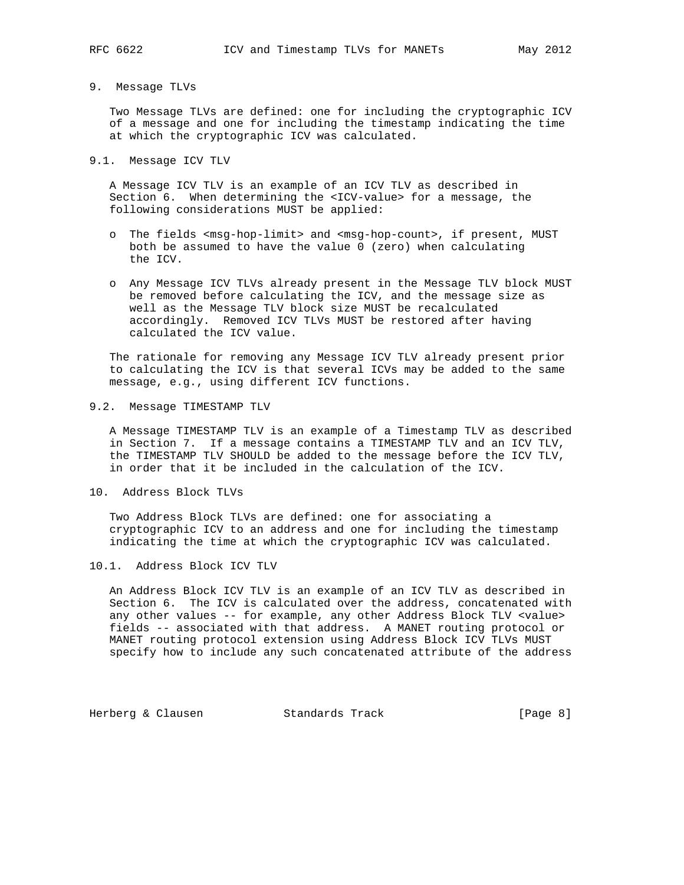## 9. Message TLVs

 Two Message TLVs are defined: one for including the cryptographic ICV of a message and one for including the timestamp indicating the time at which the cryptographic ICV was calculated.

### 9.1. Message ICV TLV

 A Message ICV TLV is an example of an ICV TLV as described in Section 6. When determining the <ICV-value> for a message, the following considerations MUST be applied:

- o The fields <msg-hop-limit> and <msg-hop-count>, if present, MUST both be assumed to have the value 0 (zero) when calculating the ICV.
- o Any Message ICV TLVs already present in the Message TLV block MUST be removed before calculating the ICV, and the message size as well as the Message TLV block size MUST be recalculated accordingly. Removed ICV TLVs MUST be restored after having calculated the ICV value.

 The rationale for removing any Message ICV TLV already present prior to calculating the ICV is that several ICVs may be added to the same message, e.g., using different ICV functions.

### 9.2. Message TIMESTAMP TLV

 A Message TIMESTAMP TLV is an example of a Timestamp TLV as described in Section 7. If a message contains a TIMESTAMP TLV and an ICV TLV, the TIMESTAMP TLV SHOULD be added to the message before the ICV TLV, in order that it be included in the calculation of the ICV.

10. Address Block TLVs

 Two Address Block TLVs are defined: one for associating a cryptographic ICV to an address and one for including the timestamp indicating the time at which the cryptographic ICV was calculated.

10.1. Address Block ICV TLV

 An Address Block ICV TLV is an example of an ICV TLV as described in Section 6. The ICV is calculated over the address, concatenated with any other values -- for example, any other Address Block TLV <value> fields -- associated with that address. A MANET routing protocol or MANET routing protocol extension using Address Block ICV TLVs MUST specify how to include any such concatenated attribute of the address

Herberg & Clausen Standards Track [Page 8]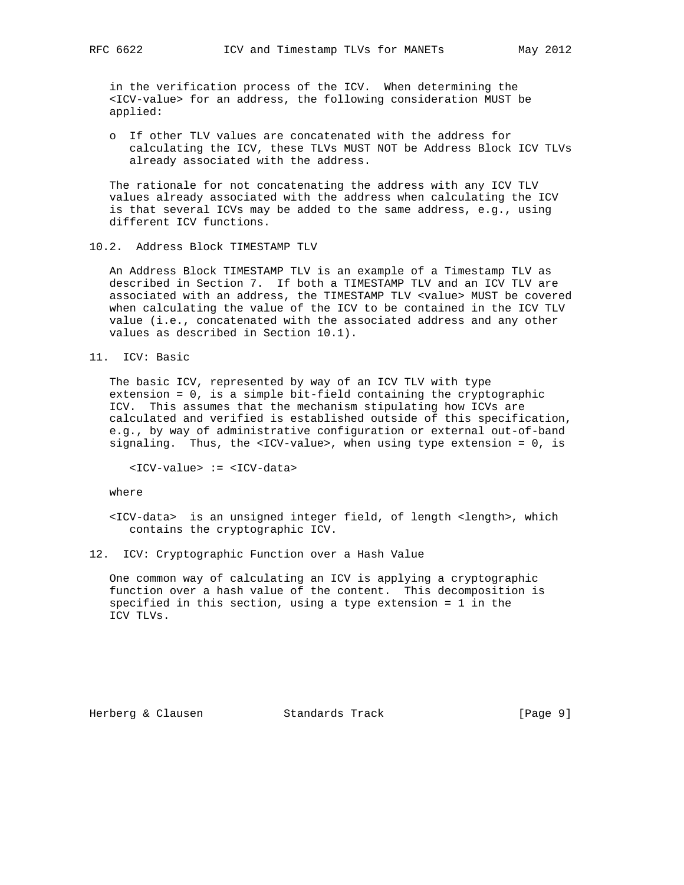in the verification process of the ICV. When determining the <ICV-value> for an address, the following consideration MUST be applied:

 o If other TLV values are concatenated with the address for calculating the ICV, these TLVs MUST NOT be Address Block ICV TLVs already associated with the address.

 The rationale for not concatenating the address with any ICV TLV values already associated with the address when calculating the ICV is that several ICVs may be added to the same address, e.g., using different ICV functions.

10.2. Address Block TIMESTAMP TLV

 An Address Block TIMESTAMP TLV is an example of a Timestamp TLV as described in Section 7. If both a TIMESTAMP TLV and an ICV TLV are associated with an address, the TIMESTAMP TLV <value> MUST be covered when calculating the value of the ICV to be contained in the ICV TLV value (i.e., concatenated with the associated address and any other values as described in Section 10.1).

11. ICV: Basic

 The basic ICV, represented by way of an ICV TLV with type extension = 0, is a simple bit-field containing the cryptographic ICV. This assumes that the mechanism stipulating how ICVs are calculated and verified is established outside of this specification, e.g., by way of administrative configuration or external out-of-band signaling. Thus, the <ICV-value>, when using type extension = 0, is

<ICV-value> := <ICV-data>

where

 <ICV-data> is an unsigned integer field, of length <length>, which contains the cryptographic ICV.

12. ICV: Cryptographic Function over a Hash Value

 One common way of calculating an ICV is applying a cryptographic function over a hash value of the content. This decomposition is specified in this section, using a type extension = 1 in the ICV TLVs.

Herberg & Clausen Standards Track [Page 9]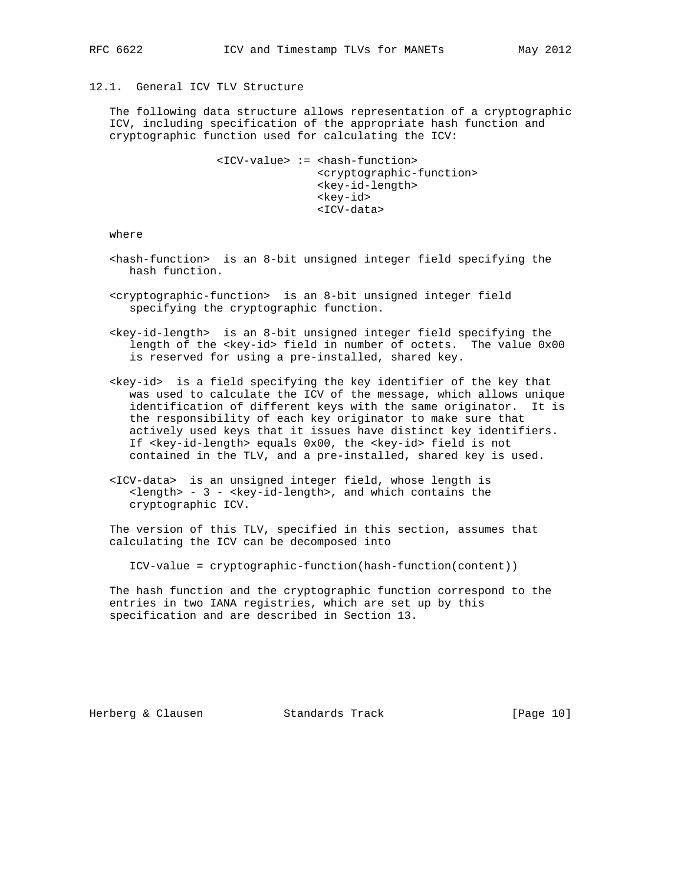# 12.1. General ICV TLV Structure

 The following data structure allows representation of a cryptographic ICV, including specification of the appropriate hash function and cryptographic function used for calculating the ICV:

> <ICV-value> := <hash-function> <cryptographic-function> <key-id-length> <key-id> <ICV-data>

where

- <hash-function> is an 8-bit unsigned integer field specifying the hash function.
- <cryptographic-function> is an 8-bit unsigned integer field specifying the cryptographic function.
- <key-id-length> is an 8-bit unsigned integer field specifying the length of the <key-id> field in number of octets. The value 0x00 is reserved for using a pre-installed, shared key.
- <key-id> is a field specifying the key identifier of the key that was used to calculate the ICV of the message, which allows unique identification of different keys with the same originator. It is the responsibility of each key originator to make sure that actively used keys that it issues have distinct key identifiers. If <key-id-length> equals 0x00, the <key-id> field is not contained in the TLV, and a pre-installed, shared key is used.
- <ICV-data> is an unsigned integer field, whose length is <length> - 3 - <key-id-length>, and which contains the cryptographic ICV.

 The version of this TLV, specified in this section, assumes that calculating the ICV can be decomposed into

ICV-value = cryptographic-function(hash-function(content))

 The hash function and the cryptographic function correspond to the entries in two IANA registries, which are set up by this specification and are described in Section 13.

Herberg & Clausen Standards Track [Page 10]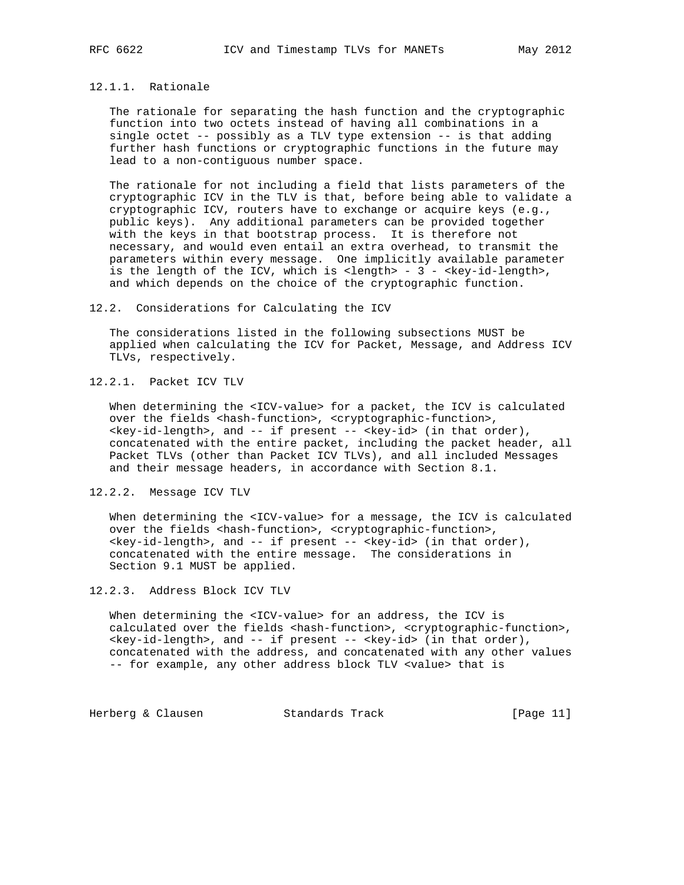## 12.1.1. Rationale

 The rationale for separating the hash function and the cryptographic function into two octets instead of having all combinations in a single octet -- possibly as a TLV type extension -- is that adding further hash functions or cryptographic functions in the future may lead to a non-contiguous number space.

 The rationale for not including a field that lists parameters of the cryptographic ICV in the TLV is that, before being able to validate a cryptographic ICV, routers have to exchange or acquire keys (e.g., public keys). Any additional parameters can be provided together with the keys in that bootstrap process. It is therefore not necessary, and would even entail an extra overhead, to transmit the parameters within every message. One implicitly available parameter is the length of the ICV, which is <length> - 3 - <key-id-length>, and which depends on the choice of the cryptographic function.

## 12.2. Considerations for Calculating the ICV

 The considerations listed in the following subsections MUST be applied when calculating the ICV for Packet, Message, and Address ICV TLVs, respectively.

12.2.1. Packet ICV TLV

When determining the <ICV-value> for a packet, the ICV is calculated over the fields <hash-function>, <cryptographic-function>, <key-id-length>, and -- if present -- <key-id> (in that order), concatenated with the entire packet, including the packet header, all Packet TLVs (other than Packet ICV TLVs), and all included Messages and their message headers, in accordance with Section 8.1.

12.2.2. Message ICV TLV

 When determining the <ICV-value> for a message, the ICV is calculated over the fields <hash-function>, <cryptographic-function>, <key-id-length>, and -- if present -- <key-id> (in that order), concatenated with the entire message. The considerations in Section 9.1 MUST be applied.

12.2.3. Address Block ICV TLV

 When determining the <ICV-value> for an address, the ICV is calculated over the fields <hash-function>, <cryptographic-function>, <key-id-length>, and -- if present -- <key-id> (in that order), concatenated with the address, and concatenated with any other values -- for example, any other address block TLV <value> that is

Herberg & Clausen Standards Track [Page 11]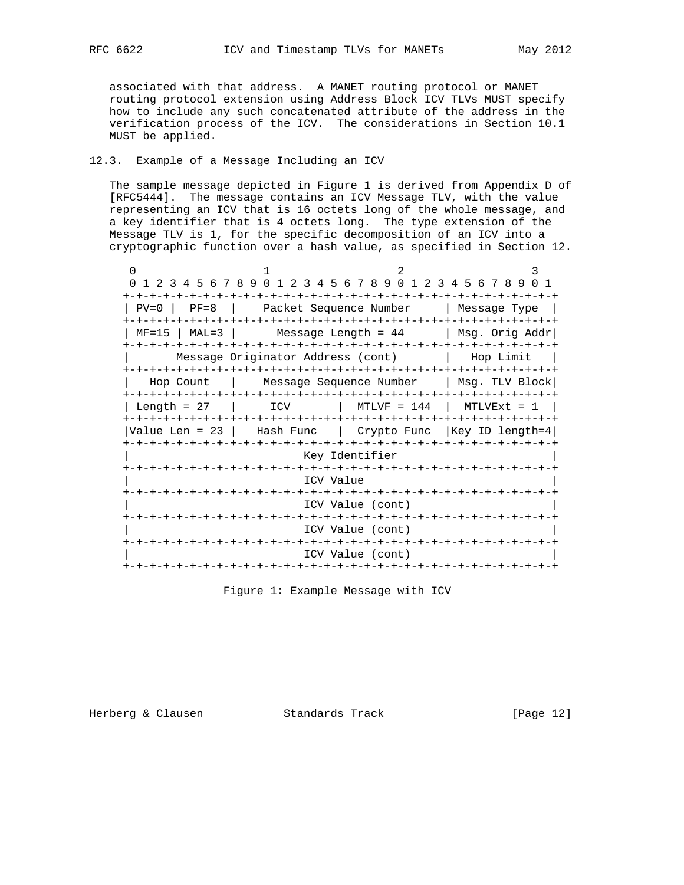associated with that address. A MANET routing protocol or MANET routing protocol extension using Address Block ICV TLVs MUST specify how to include any such concatenated attribute of the address in the verification process of the ICV. The considerations in Section 10.1 MUST be applied.

# 12.3. Example of a Message Including an ICV

 The sample message depicted in Figure 1 is derived from Appendix D of [RFC5444]. The message contains an ICV Message TLV, with the value representing an ICV that is 16 octets long of the whole message, and a key identifier that is 4 octets long. The type extension of the Message TLV is 1, for the specific decomposition of an ICV into a cryptographic function over a hash value, as specified in Section 12.

0  $1$   $2$   $3$  0 1 2 3 4 5 6 7 8 9 0 1 2 3 4 5 6 7 8 9 0 1 2 3 4 5 6 7 8 9 0 1 +-+-+-+-+-+-+-+-+-+-+-+-+-+-+-+-+-+-+-+-+-+-+-+-+-+-+-+-+-+-+-+-+ | PV=0 | PF=8 | Packet Sequence Number | Message Type | +-+-+-+-+-+-+-+-+-+-+-+-+-+-+-+-+-+-+-+-+-+-+-+-+-+-+-+-+-+-+-+-+  $\vert$  MF=15  $\vert$  MAL=3  $\vert$  Message Length = 44  $\vert$  Msg. Orig Addr $\vert$  +-+-+-+-+-+-+-+-+-+-+-+-+-+-+-+-+-+-+-+-+-+-+-+-+-+-+-+-+-+-+-+-+ | Message Originator Address (cont) | Hop Limit | +-+-+-+-+-+-+-+-+-+-+-+-+-+-+-+-+-+-+-+-+-+-+-+-+-+-+-+-+-+-+-+-+ | Hop Count | Message Sequence Number | Msg. TLV Block| +-+-+-+-+-+-+-+-+-+-+-+-+-+-+-+-+-+-+-+-+-+-+-+-+-+-+-+-+-+-+-+-+ | Length = 27 | ICV | MTLVF = 144 | MTLVExt = 1 | +-+-+-+-+-+-+-+-+-+-+-+-+-+-+-+-+-+-+-+-+-+-+-+-+-+-+-+-+-+-+-+-+ |Value Len = 23 | Hash Func | Crypto Func |Key ID length=4| +-+-+-+-+-+-+-+-+-+-+-+-+-+-+-+-+-+-+-+-+-+-+-+-+-+-+-+-+-+-+-+-+ Key Identifier +-+-+-+-+-+-+-+-+-+-+-+-+-+-+-+-+-+-+-+-+-+-+-+-+-+-+-+-+-+-+-+-+ ICV Value +-+-+-+-+-+-+-+-+-+-+-+-+-+-+-+-+-+-+-+-+-+-+-+-+-+-+-+-+-+-+-+-+ ICV Value (cont) +-+-+-+-+-+-+-+-+-+-+-+-+-+-+-+-+-+-+-+-+-+-+-+-+-+-+-+-+-+-+-+-+ ICV Value (cont) +-+-+-+-+-+-+-+-+-+-+-+-+-+-+-+-+-+-+-+-+-+-+-+-+-+-+-+-+-+-+-+-+ ICV Value (cont) +-+-+-+-+-+-+-+-+-+-+-+-+-+-+-+-+-+-+-+-+-+-+-+-+-+-+-+-+-+-+-+-+

Figure 1: Example Message with ICV

Herberg & Clausen Standards Track [Page 12]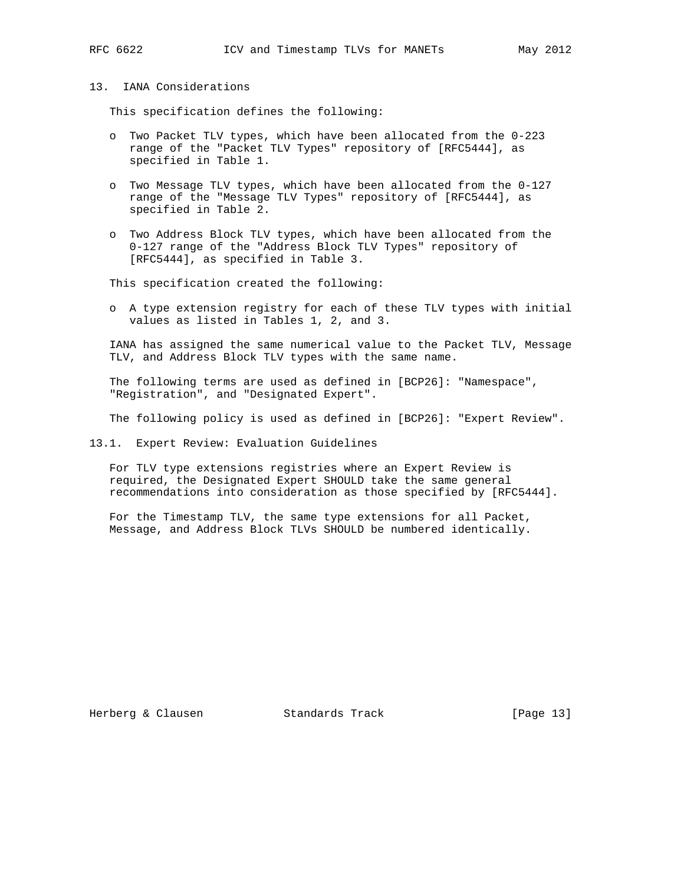## 13. IANA Considerations

This specification defines the following:

- o Two Packet TLV types, which have been allocated from the 0-223 range of the "Packet TLV Types" repository of [RFC5444], as specified in Table 1.
- o Two Message TLV types, which have been allocated from the 0-127 range of the "Message TLV Types" repository of [RFC5444], as specified in Table 2.
- o Two Address Block TLV types, which have been allocated from the 0-127 range of the "Address Block TLV Types" repository of [RFC5444], as specified in Table 3.

This specification created the following:

 o A type extension registry for each of these TLV types with initial values as listed in Tables 1, 2, and 3.

 IANA has assigned the same numerical value to the Packet TLV, Message TLV, and Address Block TLV types with the same name.

 The following terms are used as defined in [BCP26]: "Namespace", "Registration", and "Designated Expert".

The following policy is used as defined in [BCP26]: "Expert Review".

13.1. Expert Review: Evaluation Guidelines

 For TLV type extensions registries where an Expert Review is required, the Designated Expert SHOULD take the same general recommendations into consideration as those specified by [RFC5444].

 For the Timestamp TLV, the same type extensions for all Packet, Message, and Address Block TLVs SHOULD be numbered identically.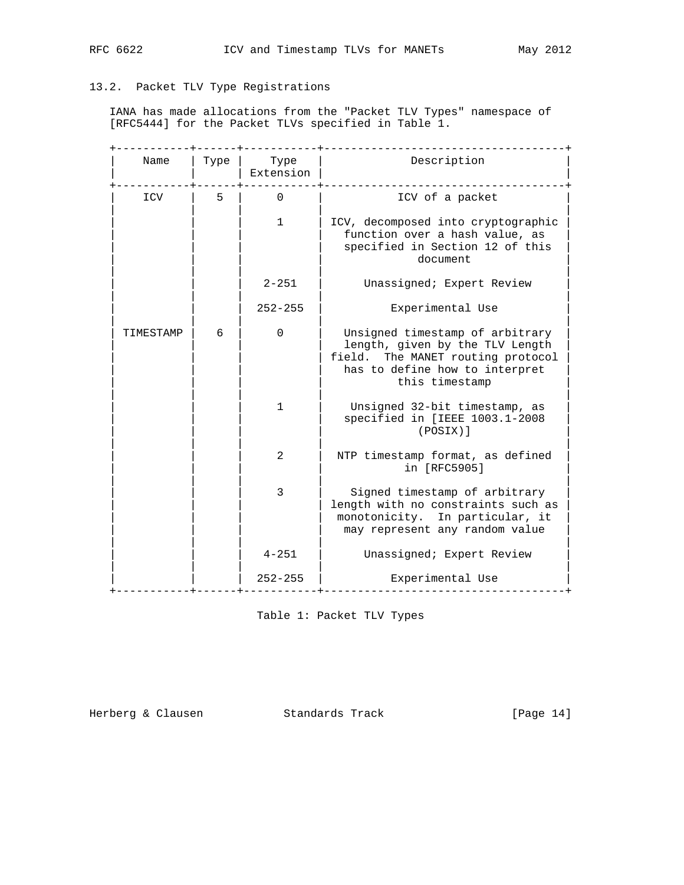# 13.2. Packet TLV Type Registrations

 IANA has made allocations from the "Packet TLV Types" namespace of [RFC5444] for the Packet TLVs specified in Table 1.

| Name      | Type | Type<br>Extension | Description                                                                                                                                                 |
|-----------|------|-------------------|-------------------------------------------------------------------------------------------------------------------------------------------------------------|
| ICV       | 5    | $\mathbf 0$       | ICV of a packet                                                                                                                                             |
|           |      | $\mathbf{1}$      | ICV, decomposed into cryptographic<br>function over a hash value, as<br>specified in Section 12 of this<br>document                                         |
|           |      | $2 - 251$         | Unassigned; Expert Review                                                                                                                                   |
|           |      | $252 - 255$       | Experimental Use                                                                                                                                            |
| TIMESTAMP | 6    | $\Omega$          | Unsigned timestamp of arbitrary<br>length, given by the TLV Length<br>field. The MANET routing protocol<br>has to define how to interpret<br>this timestamp |
|           |      | $\mathbf{1}$      | Unsigned 32-bit timestamp, as<br>specified in [IEEE 1003.1-2008<br>(POSIX)]                                                                                 |
|           |      | 2                 | NTP timestamp format, as defined<br>in [RFC5905]                                                                                                            |
|           |      | 3                 | Signed timestamp of arbitrary<br>length with no constraints such as<br>monotonicity. In particular, it<br>may represent any random value                    |
|           |      | $4 - 251$         | Unassigned; Expert Review                                                                                                                                   |
|           |      | $252 - 255$       | Experimental Use                                                                                                                                            |

Table 1: Packet TLV Types

Herberg & Clausen Standards Track [Page 14]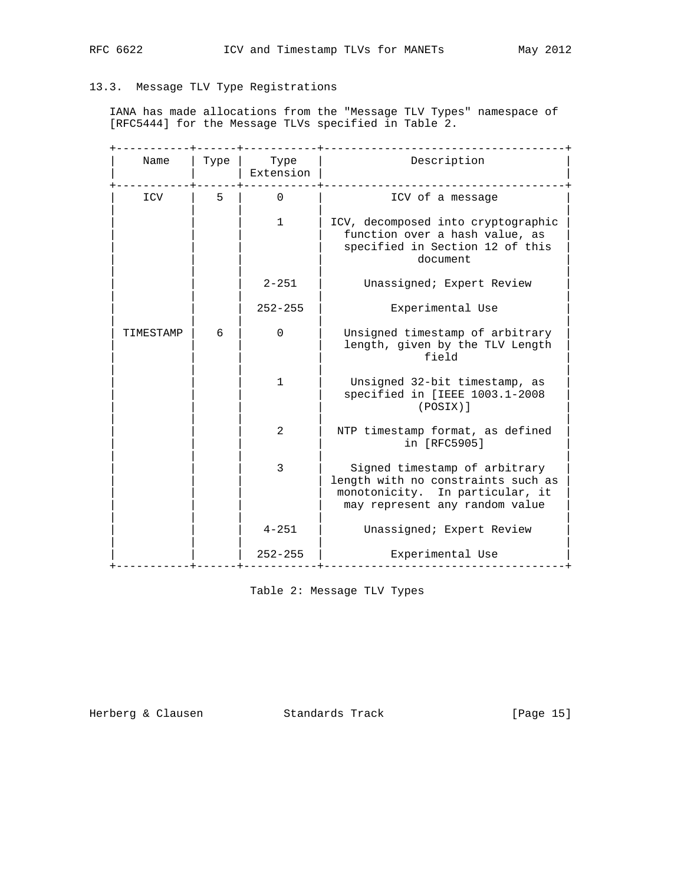# 13.3. Message TLV Type Registrations

 IANA has made allocations from the "Message TLV Types" namespace of [RFC5444] for the Message TLVs specified in Table 2.

| Name      | Type | Type<br>Extension | Description                                                                                                                              |
|-----------|------|-------------------|------------------------------------------------------------------------------------------------------------------------------------------|
| ICV       | 5    | $\Omega$          | ICV of a message                                                                                                                         |
|           |      | $\mathbf{1}$      | ICV, decomposed into cryptographic<br>function over a hash value, as<br>specified in Section 12 of this<br>document                      |
|           |      | $2 - 251$         | Unassigned; Expert Review                                                                                                                |
|           |      | $252 - 255$       | Experimental Use                                                                                                                         |
| TIMESTAMP | 6    | $\Omega$          | Unsigned timestamp of arbitrary<br>length, given by the TLV Length<br>field                                                              |
|           |      | $\mathbf{1}$      | Unsigned 32-bit timestamp, as<br>specified in [IEEE 1003.1-2008<br>(POSIX)]                                                              |
|           |      | 2                 | NTP timestamp format, as defined<br>in [RFC5905]                                                                                         |
|           |      | 3                 | Signed timestamp of arbitrary<br>length with no constraints such as<br>monotonicity. In particular, it<br>may represent any random value |
|           |      | $4 - 251$         | Unassigned; Expert Review                                                                                                                |
|           |      | $252 - 255$       | Experimental Use                                                                                                                         |

Table 2: Message TLV Types

Herberg & Clausen Standards Track [Page 15]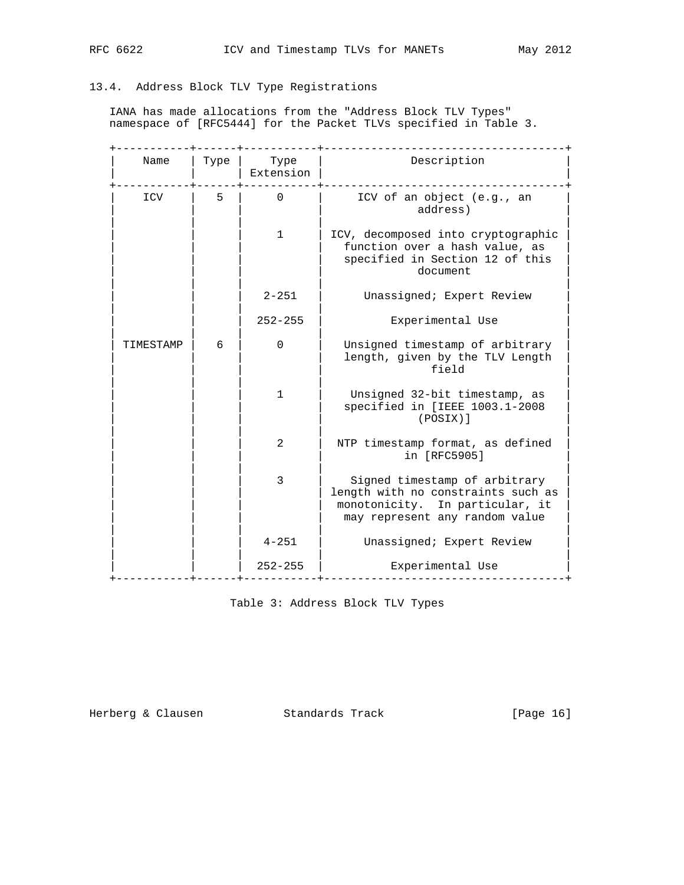# 13.4. Address Block TLV Type Registrations

 IANA has made allocations from the "Address Block TLV Types" namespace of [RFC5444] for the Packet TLVs specified in Table 3.

| Name      | Type | Type<br>Extension | Description                                                                                                                              |
|-----------|------|-------------------|------------------------------------------------------------------------------------------------------------------------------------------|
| ICV       | 5    | $\Omega$          | ICV of an object (e.g., an<br>address)                                                                                                   |
|           |      | $\mathbf{1}$      | ICV, decomposed into cryptographic<br>function over a hash value, as<br>specified in Section 12 of this<br>document                      |
|           |      | $2 - 251$         | Unassigned; Expert Review                                                                                                                |
|           |      | $252 - 255$       | Experimental Use                                                                                                                         |
| TIMESTAMP | 6    | $\mathbf{0}$      | Unsigned timestamp of arbitrary<br>length, given by the TLV Length<br>field                                                              |
|           |      | $\mathbf{1}$      | Unsigned 32-bit timestamp, as<br>specified in [IEEE 1003.1-2008<br>(POSIX)]                                                              |
|           |      | 2                 | NTP timestamp format, as defined<br>in [RFC5905]                                                                                         |
|           |      | 3                 | Signed timestamp of arbitrary<br>length with no constraints such as<br>monotonicity. In particular, it<br>may represent any random value |
|           |      | $4 - 251$         | Unassigned; Expert Review                                                                                                                |
|           |      | $252 - 255$       | Experimental Use                                                                                                                         |

Table 3: Address Block TLV Types

Herberg & Clausen Standards Track [Page 16]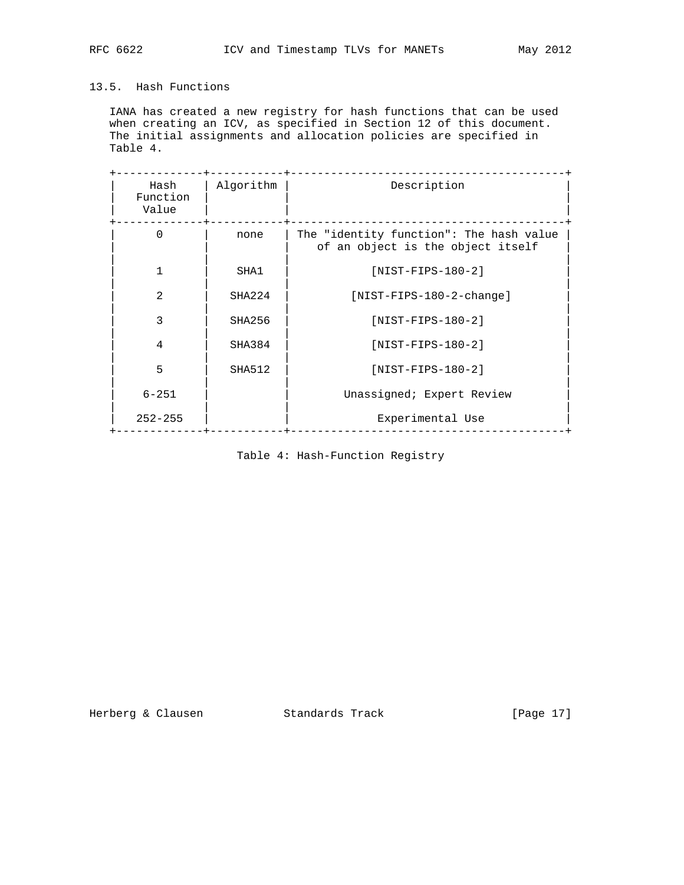# 13.5. Hash Functions

 IANA has created a new registry for hash functions that can be used when creating an ICV, as specified in Section 12 of this document. The initial assignments and allocation policies are specified in Table 4.

| Hash<br>Function<br>Value | Algorithm     | Description                                                                  |
|---------------------------|---------------|------------------------------------------------------------------------------|
| $\Omega$                  | none          | The "identity function": The hash value<br>of an object is the object itself |
| 1                         | SHA1          | $[NIST-FIPS-180-2]$                                                          |
| $\mathfrak{D}$            | SHA224        | $[NIST-FIPS-180-2-change]$                                                   |
| 3                         | SHA256        | $[NIST-FIPS-180-2]$                                                          |
| 4                         | SHA384        | $[NIST-FIPS-180-2]$                                                          |
| 5                         | <b>SHA512</b> | $[NIST-FIPS-180-2]$                                                          |
| $6 - 251$                 |               | Unassigned; Expert Review                                                    |
| $252 - 255$               |               | Experimental Use                                                             |

Table 4: Hash-Function Registry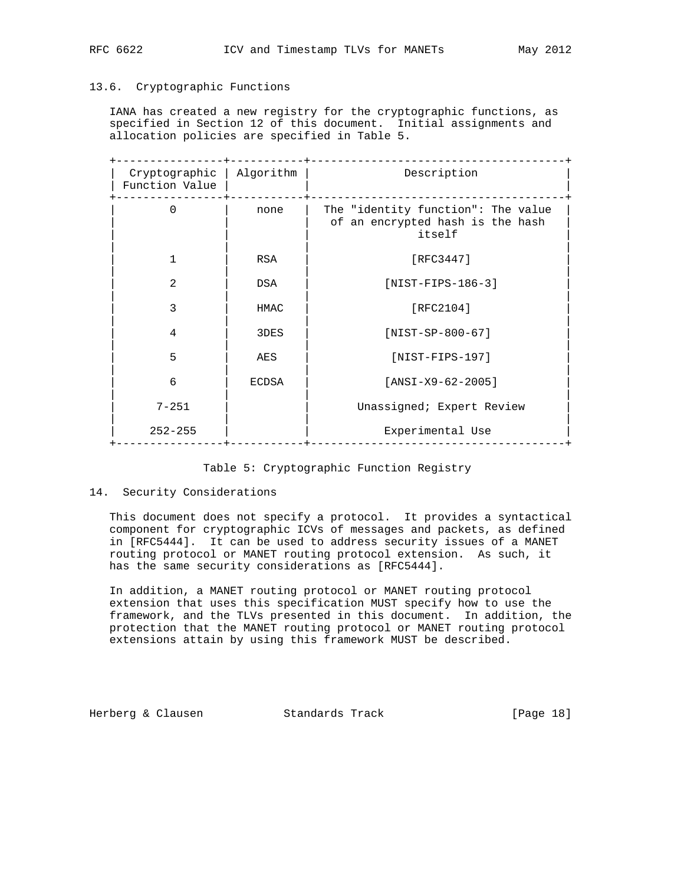# 13.6. Cryptographic Functions

 IANA has created a new registry for the cryptographic functions, as specified in Section 12 of this document. Initial assignments and allocation policies are specified in Table 5.

| Cryptographic<br>Function Value | Algorithm  | Description                                                                      |
|---------------------------------|------------|----------------------------------------------------------------------------------|
| $\Omega$                        | none       | The "identity function": The value<br>of an encrypted hash is the hash<br>itself |
|                                 | <b>RSA</b> | [ $RFC3447$ ]                                                                    |
| $\mathfrak{D}$                  | DSA        | $[NIST-FIPS-186-3]$                                                              |
| 3                               | HMAC       | [RFC2104]                                                                        |
| 4                               | 3DES       | $[NIST-SP-800-67]$                                                               |
| 5                               | AES        | $[NIST-FIPS-197]$                                                                |
| 6                               | ECDSA      | $[ANSI-X9-62-2005]$                                                              |
| $7 - 251$                       |            | Unassigned; Expert Review                                                        |
| $252 - 255$                     |            | Experimental Use                                                                 |

# Table 5: Cryptographic Function Registry

## 14. Security Considerations

 This document does not specify a protocol. It provides a syntactical component for cryptographic ICVs of messages and packets, as defined in [RFC5444]. It can be used to address security issues of a MANET routing protocol or MANET routing protocol extension. As such, it has the same security considerations as [RFC5444].

 In addition, a MANET routing protocol or MANET routing protocol extension that uses this specification MUST specify how to use the framework, and the TLVs presented in this document. In addition, the protection that the MANET routing protocol or MANET routing protocol extensions attain by using this framework MUST be described.

Herberg & Clausen Standards Track [Page 18]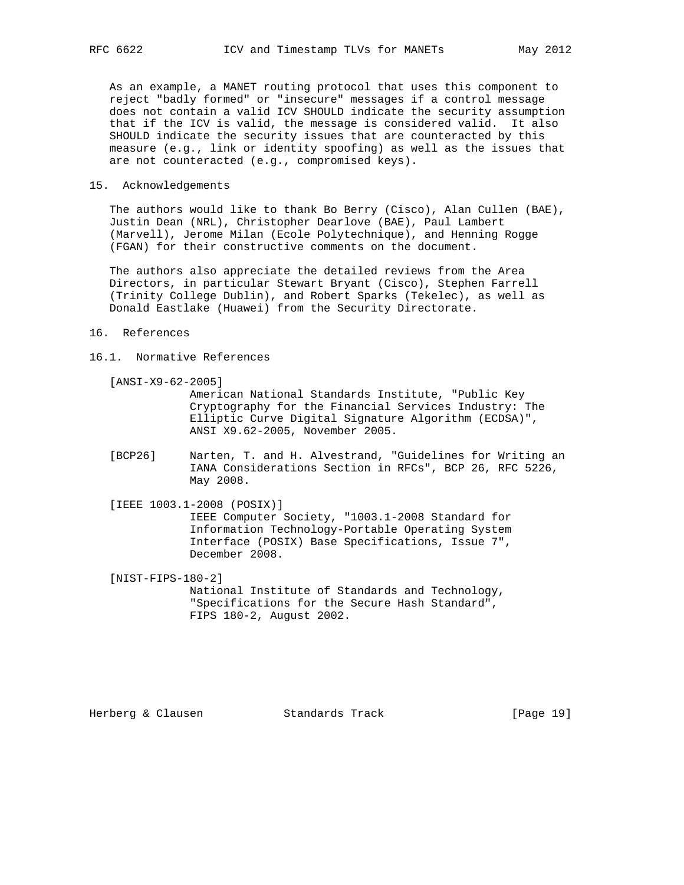As an example, a MANET routing protocol that uses this component to reject "badly formed" or "insecure" messages if a control message does not contain a valid ICV SHOULD indicate the security assumption that if the ICV is valid, the message is considered valid. It also

 SHOULD indicate the security issues that are counteracted by this measure (e.g., link or identity spoofing) as well as the issues that are not counteracted (e.g., compromised keys).

## 15. Acknowledgements

 The authors would like to thank Bo Berry (Cisco), Alan Cullen (BAE), Justin Dean (NRL), Christopher Dearlove (BAE), Paul Lambert (Marvell), Jerome Milan (Ecole Polytechnique), and Henning Rogge (FGAN) for their constructive comments on the document.

 The authors also appreciate the detailed reviews from the Area Directors, in particular Stewart Bryant (Cisco), Stephen Farrell (Trinity College Dublin), and Robert Sparks (Tekelec), as well as Donald Eastlake (Huawei) from the Security Directorate.

### 16. References

## 16.1. Normative References

[ANSI-X9-62-2005]

 American National Standards Institute, "Public Key Cryptography for the Financial Services Industry: The Elliptic Curve Digital Signature Algorithm (ECDSA)", ANSI X9.62-2005, November 2005.

 [BCP26] Narten, T. and H. Alvestrand, "Guidelines for Writing an IANA Considerations Section in RFCs", BCP 26, RFC 5226, May 2008.

 [IEEE 1003.1-2008 (POSIX)] IEEE Computer Society, "1003.1-2008 Standard for Information Technology-Portable Operating System Interface (POSIX) Base Specifications, Issue 7", December 2008.

 [NIST-FIPS-180-2] National Institute of Standards and Technology, "Specifications for the Secure Hash Standard", FIPS 180-2, August 2002.

Herberg & Clausen Standards Track [Page 19]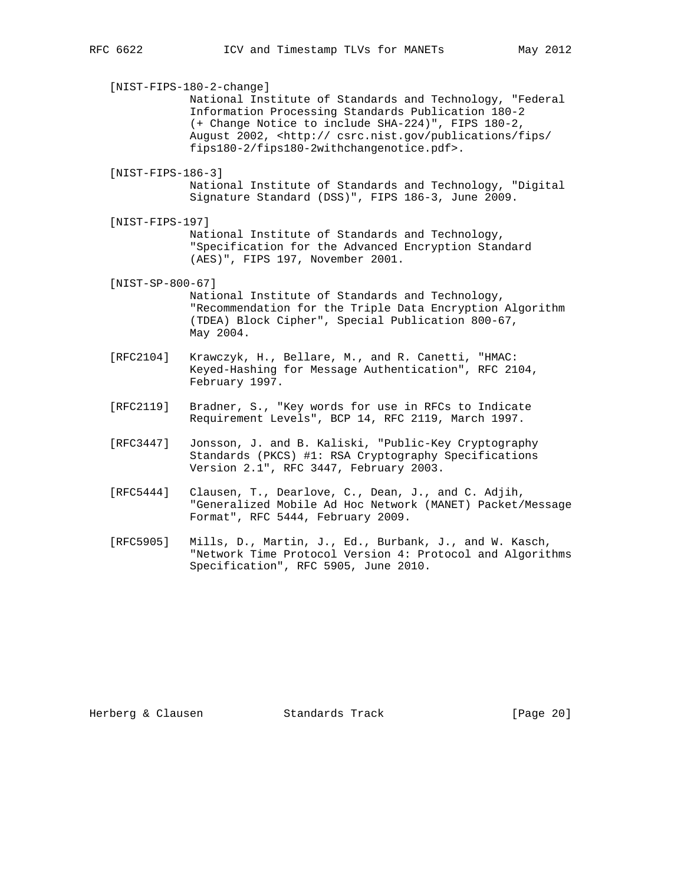[NIST-FIPS-180-2-change] National Institute of Standards and Technology, "Federal Information Processing Standards Publication 180-2 (+ Change Notice to include SHA-224)", FIPS 180-2, August 2002, <http:// csrc.nist.gov/publications/fips/ fips180-2/fips180-2withchangenotice.pdf>. [NIST-FIPS-186-3] National Institute of Standards and Technology, "Digital Signature Standard (DSS)", FIPS 186-3, June 2009. [NIST-FIPS-197] National Institute of Standards and Technology, "Specification for the Advanced Encryption Standard (AES)", FIPS 197, November 2001. [NIST-SP-800-67] National Institute of Standards and Technology, "Recommendation for the Triple Data Encryption Algorithm (TDEA) Block Cipher", Special Publication 800-67, May 2004.

- [RFC2104] Krawczyk, H., Bellare, M., and R. Canetti, "HMAC: Keyed-Hashing for Message Authentication", RFC 2104, February 1997.
- [RFC2119] Bradner, S., "Key words for use in RFCs to Indicate Requirement Levels", BCP 14, RFC 2119, March 1997.
- [RFC3447] Jonsson, J. and B. Kaliski, "Public-Key Cryptography Standards (PKCS) #1: RSA Cryptography Specifications Version 2.1", RFC 3447, February 2003.
- [RFC5444] Clausen, T., Dearlove, C., Dean, J., and C. Adjih, "Generalized Mobile Ad Hoc Network (MANET) Packet/Message Format", RFC 5444, February 2009.
- [RFC5905] Mills, D., Martin, J., Ed., Burbank, J., and W. Kasch, "Network Time Protocol Version 4: Protocol and Algorithms Specification", RFC 5905, June 2010.